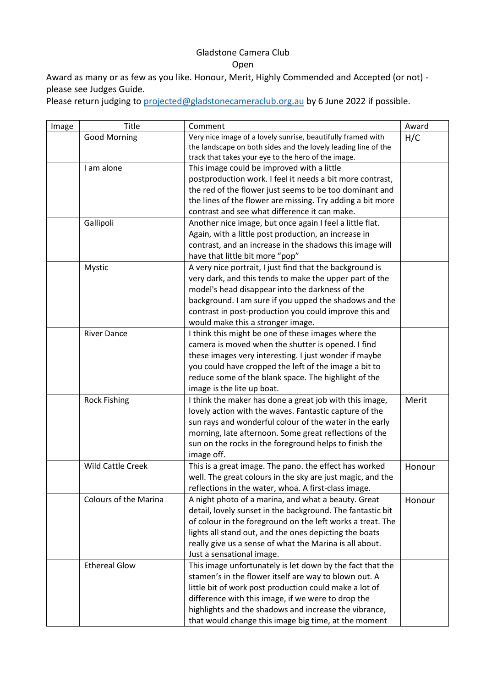## Gladstone Camera Club Open

Award as many or as few as you like. Honour, Merit, Highly Commended and Accepted (or not) please see Judges Guide.

Please return judging to [projected@gladstonecameraclub.org.au](mailto:projected@gladstonecameraclub.org.au) by 6 June 2022 if possible.

| Image | Title                        | Comment                                                                                                      | Award  |
|-------|------------------------------|--------------------------------------------------------------------------------------------------------------|--------|
|       | <b>Good Morning</b>          | Very nice image of a lovely sunrise, beautifully framed with                                                 | H/C    |
|       |                              | the landscape on both sides and the lovely leading line of the                                               |        |
|       |                              | track that takes your eye to the hero of the image.                                                          |        |
|       | I am alone                   | This image could be improved with a little                                                                   |        |
|       |                              | postproduction work. I feel it needs a bit more contrast,                                                    |        |
|       |                              | the red of the flower just seems to be too dominant and                                                      |        |
|       |                              | the lines of the flower are missing. Try adding a bit more                                                   |        |
|       |                              | contrast and see what difference it can make.                                                                |        |
|       | Gallipoli                    | Another nice image, but once again I feel a little flat.                                                     |        |
|       |                              | Again, with a little post production, an increase in                                                         |        |
|       |                              | contrast, and an increase in the shadows this image will                                                     |        |
|       |                              | have that little bit more "pop"                                                                              |        |
|       | Mystic                       | A very nice portrait, I just find that the background is                                                     |        |
|       |                              | very dark, and this tends to make the upper part of the                                                      |        |
|       |                              | model's head disappear into the darkness of the                                                              |        |
|       |                              | background. I am sure if you upped the shadows and the                                                       |        |
|       |                              | contrast in post-production you could improve this and                                                       |        |
|       |                              | would make this a stronger image.                                                                            |        |
|       | <b>River Dance</b>           | I think this might be one of these images where the                                                          |        |
|       |                              | camera is moved when the shutter is opened. I find                                                           |        |
|       |                              | these images very interesting. I just wonder if maybe                                                        |        |
|       |                              | you could have cropped the left of the image a bit to                                                        |        |
|       |                              | reduce some of the blank space. The highlight of the                                                         |        |
|       |                              | image is the lite up boat.                                                                                   |        |
|       | <b>Rock Fishing</b>          | I think the maker has done a great job with this image,                                                      | Merit  |
|       |                              | lovely action with the waves. Fantastic capture of the                                                       |        |
|       |                              | sun rays and wonderful colour of the water in the early                                                      |        |
|       |                              | morning, late afternoon. Some great reflections of the                                                       |        |
|       |                              | sun on the rocks in the foreground helps to finish the                                                       |        |
|       |                              | image off.                                                                                                   |        |
|       | Wild Cattle Creek            | This is a great image. The pano. the effect has worked                                                       | Honour |
|       |                              | well. The great colours in the sky are just magic, and the                                                   |        |
|       |                              | reflections in the water, whoa. A first-class image.                                                         |        |
|       | <b>Colours of the Marina</b> | A night photo of a marina, and what a beauty. Great                                                          | Honour |
|       |                              | detail, lovely sunset in the background. The fantastic bit                                                   |        |
|       |                              | of colour in the foreground on the left works a treat. The                                                   |        |
|       |                              | lights all stand out, and the ones depicting the boats                                                       |        |
|       |                              | really give us a sense of what the Marina is all about.                                                      |        |
|       |                              | Just a sensational image.                                                                                    |        |
|       | <b>Ethereal Glow</b>         | This image unfortunately is let down by the fact that the                                                    |        |
|       |                              | stamen's in the flower itself are way to blown out. A                                                        |        |
|       |                              |                                                                                                              |        |
|       |                              | little bit of work post production could make a lot of<br>difference with this image, if we were to drop the |        |
|       |                              |                                                                                                              |        |
|       |                              | highlights and the shadows and increase the vibrance,                                                        |        |
|       |                              | that would change this image big time, at the moment                                                         |        |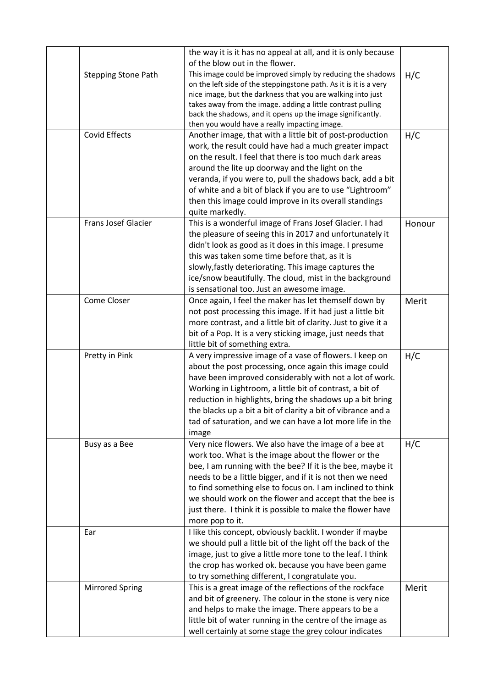|  |                            | the way it is it has no appeal at all, and it is only because<br>of the blow out in the flower.                                  |        |
|--|----------------------------|----------------------------------------------------------------------------------------------------------------------------------|--------|
|  | <b>Stepping Stone Path</b> | This image could be improved simply by reducing the shadows<br>on the left side of the steppingstone path. As it is it is a very | H/C    |
|  |                            | nice image, but the darkness that you are walking into just                                                                      |        |
|  |                            | takes away from the image. adding a little contrast pulling                                                                      |        |
|  |                            | back the shadows, and it opens up the image significantly.                                                                       |        |
|  |                            | then you would have a really impacting image.                                                                                    |        |
|  | <b>Covid Effects</b>       | Another image, that with a little bit of post-production                                                                         | H/C    |
|  |                            | work, the result could have had a much greater impact                                                                            |        |
|  |                            | on the result. I feel that there is too much dark areas                                                                          |        |
|  |                            | around the lite up doorway and the light on the                                                                                  |        |
|  |                            | veranda, if you were to, pull the shadows back, add a bit                                                                        |        |
|  |                            | of white and a bit of black if you are to use "Lightroom"                                                                        |        |
|  |                            | then this image could improve in its overall standings                                                                           |        |
|  |                            | quite markedly.                                                                                                                  |        |
|  | <b>Frans Josef Glacier</b> | This is a wonderful image of Frans Josef Glacier. I had                                                                          | Honour |
|  |                            | the pleasure of seeing this in 2017 and unfortunately it                                                                         |        |
|  |                            | didn't look as good as it does in this image. I presume                                                                          |        |
|  |                            | this was taken some time before that, as it is                                                                                   |        |
|  |                            | slowly, fastly deteriorating. This image captures the                                                                            |        |
|  |                            | ice/snow beautifully. The cloud, mist in the background<br>is sensational too. Just an awesome image.                            |        |
|  | Come Closer                | Once again, I feel the maker has let themself down by                                                                            |        |
|  |                            | not post processing this image. If it had just a little bit                                                                      | Merit  |
|  |                            | more contrast, and a little bit of clarity. Just to give it a                                                                    |        |
|  |                            | bit of a Pop. It is a very sticking image, just needs that                                                                       |        |
|  |                            | little bit of something extra.                                                                                                   |        |
|  | Pretty in Pink             | A very impressive image of a vase of flowers. I keep on                                                                          | H/C    |
|  |                            | about the post processing, once again this image could                                                                           |        |
|  |                            | have been improved considerably with not a lot of work.                                                                          |        |
|  |                            | Working in Lightroom, a little bit of contrast, a bit of                                                                         |        |
|  |                            | reduction in highlights, bring the shadows up a bit bring                                                                        |        |
|  |                            | the blacks up a bit a bit of clarity a bit of vibrance and a                                                                     |        |
|  |                            | tad of saturation, and we can have a lot more life in the                                                                        |        |
|  |                            | image                                                                                                                            |        |
|  | Busy as a Bee              | Very nice flowers. We also have the image of a bee at                                                                            | H/C    |
|  |                            | work too. What is the image about the flower or the                                                                              |        |
|  |                            | bee, I am running with the bee? If it is the bee, maybe it                                                                       |        |
|  |                            | needs to be a little bigger, and if it is not then we need                                                                       |        |
|  |                            | to find something else to focus on. I am inclined to think                                                                       |        |
|  |                            | we should work on the flower and accept that the bee is                                                                          |        |
|  |                            | just there. I think it is possible to make the flower have                                                                       |        |
|  |                            | more pop to it.                                                                                                                  |        |
|  | Ear                        | I like this concept, obviously backlit. I wonder if maybe                                                                        |        |
|  |                            | we should pull a little bit of the light off the back of the                                                                     |        |
|  |                            | image, just to give a little more tone to the leaf. I think                                                                      |        |
|  |                            | the crop has worked ok. because you have been game                                                                               |        |
|  |                            | to try something different, I congratulate you.                                                                                  |        |
|  | <b>Mirrored Spring</b>     | This is a great image of the reflections of the rockface                                                                         | Merit  |
|  |                            | and bit of greenery. The colour in the stone is very nice                                                                        |        |
|  |                            | and helps to make the image. There appears to be a                                                                               |        |
|  |                            | little bit of water running in the centre of the image as                                                                        |        |
|  |                            | well certainly at some stage the grey colour indicates                                                                           |        |